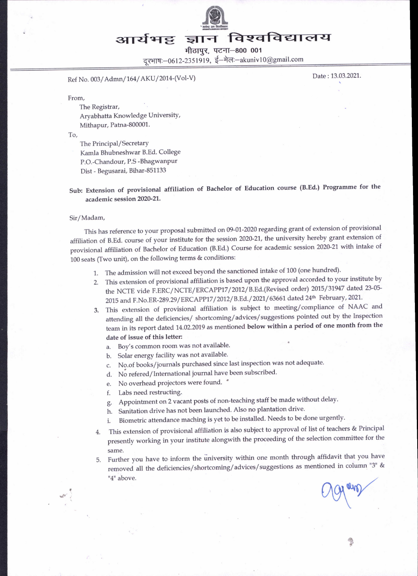

# आर्यभट्ट ज्ञान विश्वविद्यालय

मीठापुर, पटना-800 001

दरभाषः-0612-2351919, ई-मेलः-akuniv10@gmail.com

Ref No. 003/Admn/164/AKU/2014-(Vol-V) Date: 13.03.2021.

From,

The Registrar, Aryabhatta Knowledge UniversitY, Mithapur, Patna-800001.

To,

The Principal/Secretary Kamla Bhubneshwar B.Ed. College P.O.-Chandour, P.S -Bhagwanpur Dist - Begusarai, Bihar-851133

Sub: Extension of provisional affiliation of Bachelor of Education course (B.Ed.) Programme for the academic session 2020-21.

Sir/Madam,

This has reference to your proposal submitted on 09-01-2020 regarding grant of extension of provisional affiliation of B.Ed. course of your institute for the session 2020-21, the university hereby grant extension of provisional affiliation of Bachelor of Education (B.Ed.) Course for academic session 2020-27 with intake of 100 seats (Two unit), on the following terms & conditions:

- 1. The admission will not exceed beyond the sanctioned intake of 100 (one hundred).
- 2. This extension of provisional affiliation is based upon the approval accorded to your institute by the NCTE vide F.ERC/NCTE/ERCAPP17/2012/B.Ed. (Revised order) 2015/31947 dated 23-05-2015 and F.No.ER-289.29/ERCAPP17/2012/B.Ed./2021/63661 dated 24th February, 2021.
- 3. This extension of provisional affiliation is subject to meeting/compliance of NAAC and aftending all the deficiencies/ shortcoming/advices/suggestions pointed out by the Inspection team in its report dated 14.02.2019 as mentioned below within a period of one month from the date of issue of this letten
	- a. Boy's common room was not available.
	- b. Solar energy facility was not available.
	- c. No.of books/joumals purchased since last inspection was not adequate.
	- d. No refered/International journal have been subscribed.
	- e. No overhead projectors were found.  $"$
	- f. Labs need restructing.
	- g. Appointment on 2 vacant posts of non-teaching staff be made without delay.
	- h. Sanitation drive has not been launched. Also no plantation drive.
	- i. Biometric attendance maching is yet to be installed. Needs to be done urgently.
- 4. This extension of provisional affiliation is also subject to approval of list of teachers & Principal presently working in your institute alongwith the proceeding of the selection committee for the same.
- 5. Further you have to inform the university within one month through affidavit that you have removed all the deficiencies/shortcoming/advices/suggestions as mentioned in column "3" & "4" above.

age and